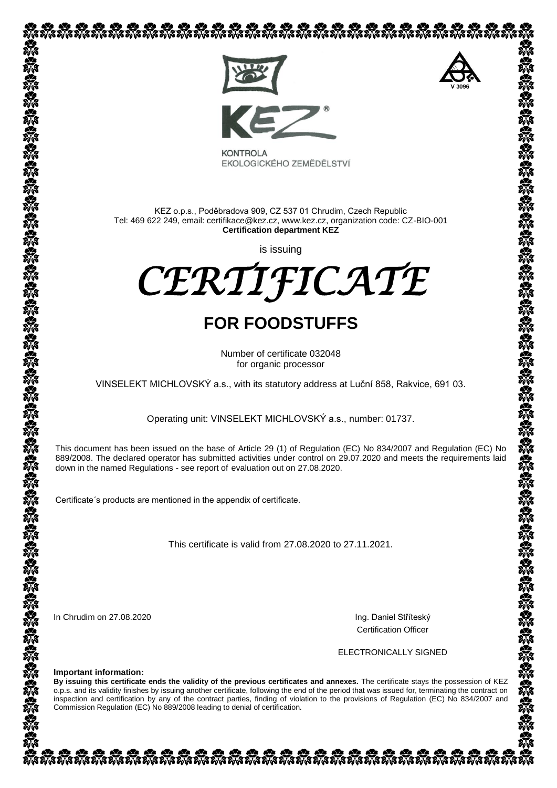

EKOLOGICKÉHO ZEMĚDĚLSTVÍ

KEZ o.p.s., Poděbradova 909, CZ 537 01 Chrudim, Czech Republic Tel: 469 622 249, email: certifikace@kez.cz, www.kez.cz, organization code: CZ-BIO-001 **Certification department KEZ**

is issuing

*CERTIFICATE* 

# **FOR FOODSTUFFS**

Number of certificate 032048 for organic processor

VINSELEKT MICHLOVSKÝ a.s., with its statutory address at Luční 858, Rakvice, 691 03.

Operating unit: VINSELEKT MICHLOVSKÝ a.s., number: 01737.

This document has been issued on the base of Article 29 (1) of Regulation (EC) No 834/2007 and Regulation (EC) No 889/2008. The declared operator has submitted activities under control on 29.07.2020 and meets the requirements laid down in the named Regulations - see [report of](http://slovnik.seznam.cz/search.py?lg=en_cz&wd=reports%20of) evaluation out on 27.08.2020.

Certificate´s products are mentioned in the appendix of certificate.

This certificate is valid from 27.08.2020 to 27.11.2021.

In Chrudim on 27.08.2020 **Ing. Daniel Stříteský** 

Certification Officer

ELECTRONICALLY SIGNED

**Important information:**

**By issuing this certificate ends the validity of the previous certificates and annexes.** The certificate stays the possession of KEZ o.p.s. and its validity finishes by issuing another certificate, following the end of the period that was issued for, terminating the contract on inspection and certification by any of the contract parties, finding of violation to the provisions of Regulation (EC) No 834/2007 and Commission Regulation (EC) No 889/2008 leading to denial of certification.